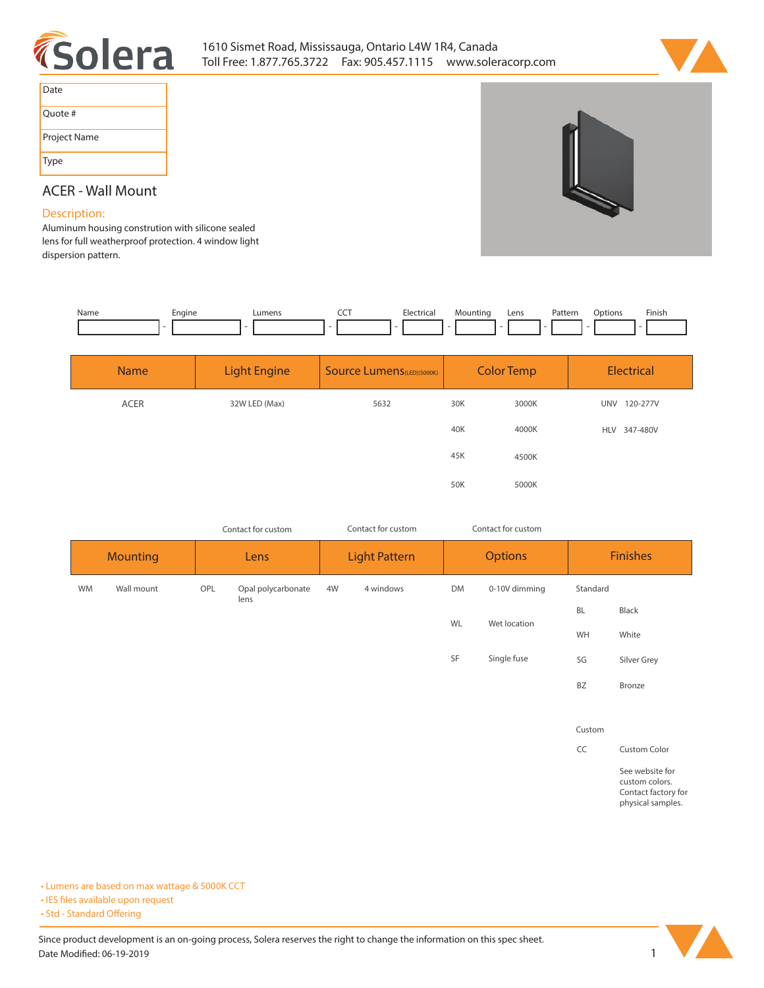



| Date         |
|--------------|
| Ouote #      |
| Project Name |
| Type         |

## **ACER - Wall Mount**

## **Description:**

**Aluminum housing constrution with silicone sealed lens for full weatherproof protection. 4 window light dispersion pattern.** 

| Name | cngine<br>-- | umens | --- | IL a<br>. | lountinc<br>- | Lens | atterr?<br>. | .ntinnr | Finish<br>the contract of the contract of the |
|------|--------------|-------|-----|-----------|---------------|------|--------------|---------|-----------------------------------------------|
|      |              |       |     |           |               |      |              |         |                                               |

| <b>Name</b> | Light Engine  | <b>Source Lumens</b> (LED)(5000K) | <b>Color Temp</b> |       | <b>Electrical</b>      |
|-------------|---------------|-----------------------------------|-------------------|-------|------------------------|
| <b>ACER</b> | 32W LED (Max) | 5632                              | 30K               | 3000K | <b>UNV</b><br>120-277V |
|             |               |                                   | 40K               | 4000K | HLV 347-480V           |
|             |               |                                   | 45K               | 4500K |                        |
|             |               |                                   | 50K               | 5000K |                        |

| Contact for custom |            | Contact for custom |                            |    | Contact for custom   |           |                |           |                                   |  |
|--------------------|------------|--------------------|----------------------------|----|----------------------|-----------|----------------|-----------|-----------------------------------|--|
| <b>Mounting</b>    |            |                    | Lens                       |    | <b>Light Pattern</b> |           | <b>Options</b> |           | <b>Finishes</b>                   |  |
| <b>WM</b>          | Wall mount | OPL                | Opal polycarbonate<br>lens | 4W | 4 windows            | <b>DM</b> | 0-10V dimming  | Standard  |                                   |  |
|                    |            |                    |                            |    |                      |           |                | <b>BL</b> | Black                             |  |
|                    |            |                    |                            |    |                      | WL        | Wet location   | WH        | White                             |  |
|                    |            |                    |                            |    |                      | SF        | Single fuse    | SG        | Silver Grey                       |  |
|                    |            |                    |                            |    |                      |           |                | <b>BZ</b> | Bronze                            |  |
|                    |            |                    |                            |    |                      |           |                |           |                                   |  |
|                    |            |                    |                            |    |                      |           |                | Custom    |                                   |  |
|                    |            |                    |                            |    |                      |           |                | CC        | <b>Custom Color</b>               |  |
|                    |            |                    |                            |    |                      |           |                |           | See website for<br>custom colors. |  |

**Contact factory for physical samples.** 

**• Lumens are based on max wattage & 5000K CCT**

**• IES files available upon request** 

• Std - Standard Offering

Since product development is an on-going process, Solera reserves the right to change the information on this spec sheet. **Date Modified: 06-19-2019** 1